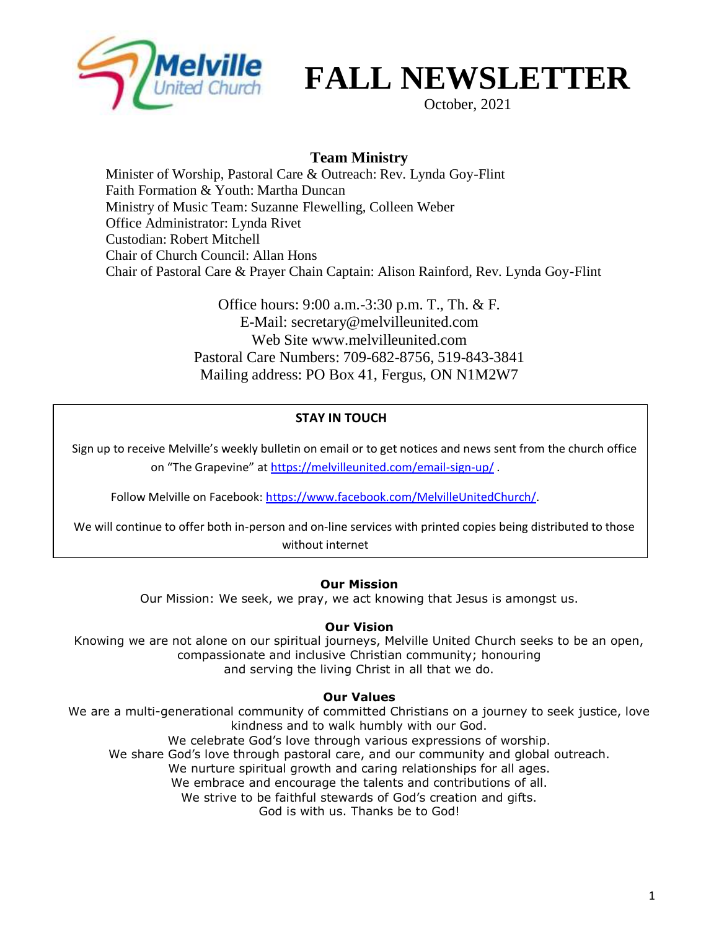

# **FALL NEWSLETTER**

October, 2021

### **Team Ministry**

Minister of Worship, Pastoral Care & Outreach: Rev. Lynda Goy-Flint Faith Formation & Youth: Martha Duncan Ministry of Music Team: Suzanne Flewelling, Colleen Weber Office Administrator: Lynda Rivet Custodian: Robert Mitchell Chair of Church Council: Allan Hons Chair of Pastoral Care & Prayer Chain Captain: Alison Rainford, Rev. Lynda Goy-Flint

> Office hours: 9:00 a.m.-3:30 p.m. T., Th. & F. E-Mail: secretary@melvilleunited.com Web Site www.melvilleunited.com Pastoral Care Numbers: 709-682-8756, 519-843-3841 Mailing address: PO Box 41, Fergus, ON N1M2W7

#### **STAY IN TOUCH**

Sign up to receive Melville's weekly bulletin on email or to get notices and news sent from the church office on "The Grapevine" at <https://melvilleunited.com/email-sign-up/> .

Follow Melville on Facebook: [https://www.facebook.com/MelvilleUnitedChurch/.](https://www.facebook.com/MelvilleUnitedChurch/)

 We will continue to offer both in-person and on-line services with printed copies being distributed to those without internet

#### **Our Mission**

Our Mission: We seek, we pray, we act knowing that Jesus is amongst us.

#### **Our Vision**

Knowing we are not alone on our spiritual journeys, Melville United Church seeks to be an open, compassionate and inclusive Christian community; honouring and serving the living Christ in all that we do.

#### **Our Values**

We are a multi-generational community of committed Christians on a journey to seek justice, love kindness and to walk humbly with our God. We celebrate God's love through various expressions of worship. We share God's love through pastoral care, and our community and global outreach. We nurture spiritual growth and caring relationships for all ages. We embrace and encourage the talents and contributions of all. We strive to be faithful stewards of God's creation and gifts. God is with us. Thanks be to God!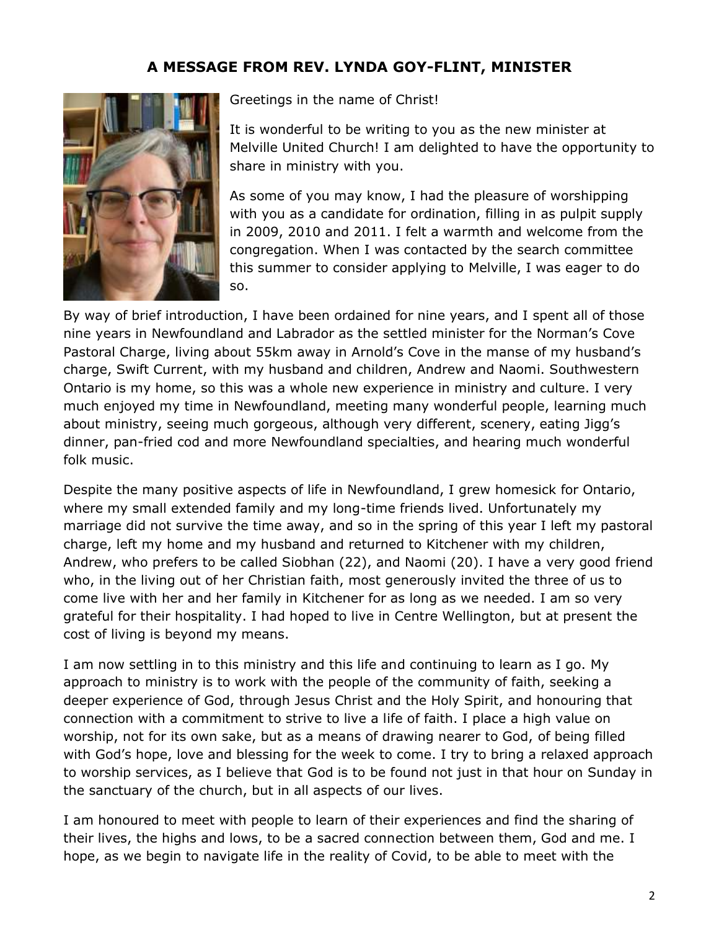# **A MESSAGE FROM REV. LYNDA GOY-FLINT, MINISTER**



Greetings in the name of Christ!

It is wonderful to be writing to you as the new minister at Melville United Church! I am delighted to have the opportunity to share in ministry with you.

As some of you may know, I had the pleasure of worshipping with you as a candidate for ordination, filling in as pulpit supply in 2009, 2010 and 2011. I felt a warmth and welcome from the congregation. When I was contacted by the search committee this summer to consider applying to Melville, I was eager to do so.

By way of brief introduction, I have been ordained for nine years, and I spent all of those nine years in Newfoundland and Labrador as the settled minister for the Norman's Cove Pastoral Charge, living about 55km away in Arnold's Cove in the manse of my husband's charge, Swift Current, with my husband and children, Andrew and Naomi. Southwestern Ontario is my home, so this was a whole new experience in ministry and culture. I very much enjoyed my time in Newfoundland, meeting many wonderful people, learning much about ministry, seeing much gorgeous, although very different, scenery, eating Jigg's dinner, pan-fried cod and more Newfoundland specialties, and hearing much wonderful folk music.

Despite the many positive aspects of life in Newfoundland, I grew homesick for Ontario, where my small extended family and my long-time friends lived. Unfortunately my marriage did not survive the time away, and so in the spring of this year I left my pastoral charge, left my home and my husband and returned to Kitchener with my children, Andrew, who prefers to be called Siobhan (22), and Naomi (20). I have a very good friend who, in the living out of her Christian faith, most generously invited the three of us to come live with her and her family in Kitchener for as long as we needed. I am so very grateful for their hospitality. I had hoped to live in Centre Wellington, but at present the cost of living is beyond my means.

I am now settling in to this ministry and this life and continuing to learn as I go. My approach to ministry is to work with the people of the community of faith, seeking a deeper experience of God, through Jesus Christ and the Holy Spirit, and honouring that connection with a commitment to strive to live a life of faith. I place a high value on worship, not for its own sake, but as a means of drawing nearer to God, of being filled with God's hope, love and blessing for the week to come. I try to bring a relaxed approach to worship services, as I believe that God is to be found not just in that hour on Sunday in the sanctuary of the church, but in all aspects of our lives.

I am honoured to meet with people to learn of their experiences and find the sharing of their lives, the highs and lows, to be a sacred connection between them, God and me. I hope, as we begin to navigate life in the reality of Covid, to be able to meet with the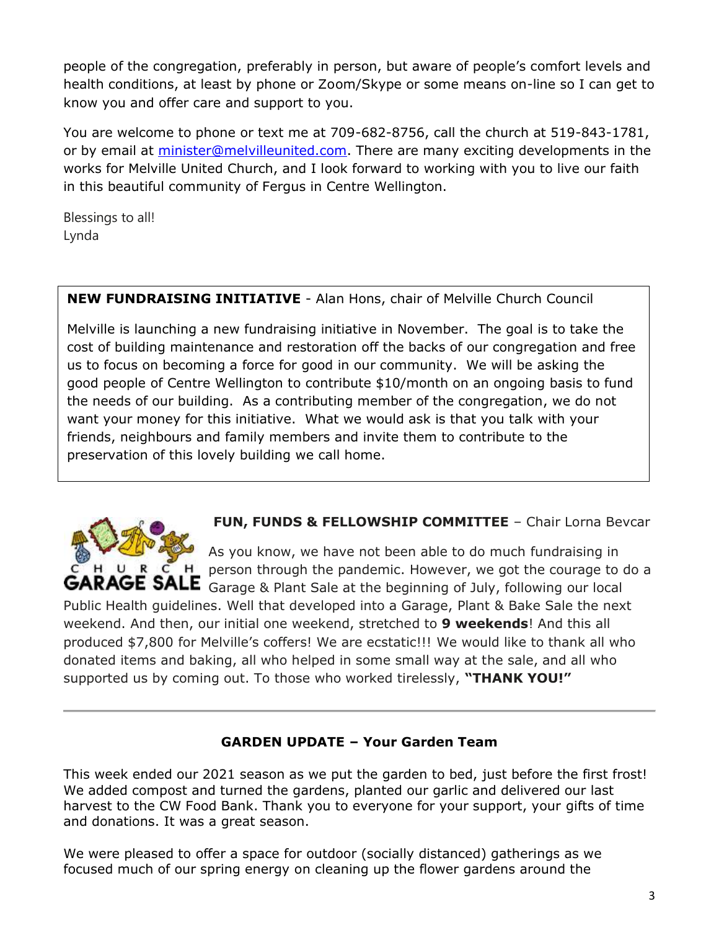people of the congregation, preferably in person, but aware of people's comfort levels and health conditions, at least by phone or Zoom/Skype or some means on-line so I can get to know you and offer care and support to you.

You are welcome to phone or text me at 709-682-8756, call the church at 519-843-1781, or by email at [minister@melvilleunited.com.](mailto:minister@melvilleunited.com) There are many exciting developments in the works for Melville United Church, and I look forward to working with you to live our faith in this beautiful community of Fergus in Centre Wellington.

Blessings to all! Lynda

## **NEW FUNDRAISING INITIATIVE** - Alan Hons, chair of Melville Church Council

Melville is launching a new fundraising initiative in November. The goal is to take the cost of building maintenance and restoration off the backs of our congregation and free us to focus on becoming a force for good in our community. We will be asking the good people of Centre Wellington to contribute \$10/month on an ongoing basis to fund the needs of our building. As a contributing member of the congregation, we do not want your money for this initiative. What we would ask is that you talk with your friends, neighbours and family members and invite them to contribute to the preservation of this lovely building we call home.



**FUN, FUNDS & FELLOWSHIP COMMITTEE** - Chair Lorna Bevcar

As you know, we have not been able to do much fundraising in H person through the pandemic. However, we got the courage to do a GARAGE SALE Garage & Plant Sale at the beginning of July, following our local

Public Health guidelines. Well that developed into a Garage, Plant & Bake Sale the next weekend. And then, our initial one weekend, stretched to **9 weekends**! And this all produced \$7,800 for Melville's coffers! We are ecstatic!!! We would like to thank all who donated items and baking, all who helped in some small way at the sale, and all who supported us by coming out. To those who worked tirelessly, **"THANK YOU!"**

#### **GARDEN UPDATE – Your Garden Team**

This week ended our 2021 season as we put the garden to bed, just before the first frost! We added compost and turned the gardens, planted our garlic and delivered our last harvest to the CW Food Bank. Thank you to everyone for your support, your gifts of time and donations. It was a great season.

We were pleased to offer a space for outdoor (socially distanced) gatherings as we focused much of our spring energy on cleaning up the flower gardens around the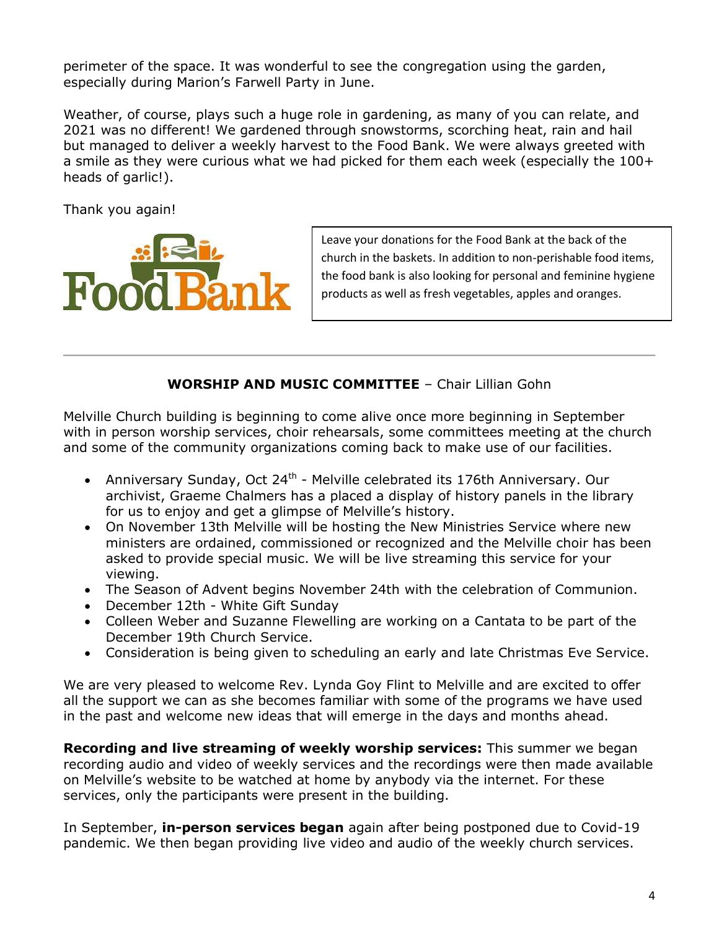perimeter of the space. It was wonderful to see the congregation using the garden, especially during Marion's Farwell Party in June.

Weather, of course, plays such a huge role in gardening, as many of you can relate, and 2021 was no different! We gardened through snowstorms, scorching heat, rain and hail but managed to deliver a weekly harvest to the Food Bank. We were always greeted with a smile as they were curious what we had picked for them each week (especially the 100+ heads of garlic!).

Thank you again!



Leave your donations for the Food Bank at the back of the church in the baskets. In addition to non-perishable food items, the food bank is also looking for personal and feminine hygiene products as well as fresh vegetables, apples and oranges.

#### **WORSHIP AND MUSIC COMMITTEE** – Chair Lillian Gohn

Melville Church building is beginning to come alive once more beginning in September with in person worship services, choir rehearsals, some committees meeting at the church and some of the community organizations coming back to make use of our facilities.

- Anniversary Sunday, Oct 24<sup>th</sup> Melville celebrated its 176th Anniversary. Our archivist, Graeme Chalmers has a placed a display of history panels in the library for us to enjoy and get a glimpse of Melville's history.
- On November 13th Melville will be hosting the New Ministries Service where new ministers are ordained, commissioned or recognized and the Melville choir has been asked to provide special music. We will be live streaming this service for your viewing.
- The Season of Advent begins November 24th with the celebration of Communion.
- December 12th White Gift Sunday
- Colleen Weber and Suzanne Flewelling are working on a Cantata to be part of the December 19th Church Service.
- Consideration is being given to scheduling an early and late Christmas Eve Service.

We are very pleased to welcome Rev. Lynda Goy Flint to Melville and are excited to offer all the support we can as she becomes familiar with some of the programs we have used in the past and welcome new ideas that will emerge in the days and months ahead.

**Recording and live streaming of weekly worship services:** This summer we began recording audio and video of weekly services and the recordings were then made available on Melville's website to be watched at home by anybody via the internet. For these services, only the participants were present in the building.

In September, **in-person services began** again after being postponed due to Covid-19 pandemic. We then began providing live video and audio of the weekly church services.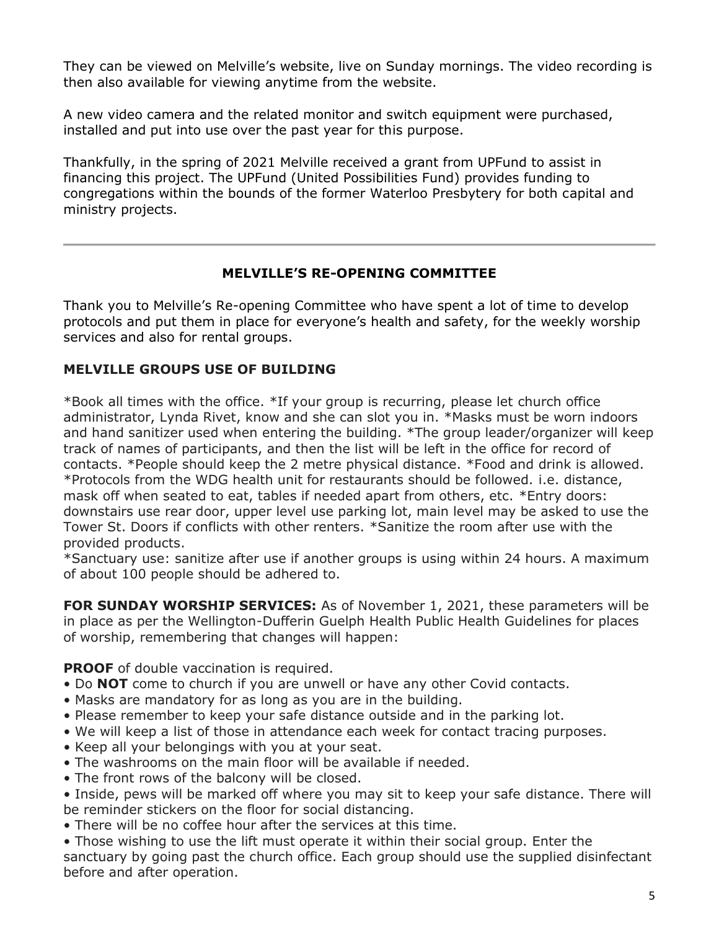They can be viewed on Melville's website, live on Sunday mornings. The video recording is then also available for viewing anytime from the website.

A new video camera and the related monitor and switch equipment were purchased, installed and put into use over the past year for this purpose.

Thankfully, in the spring of 2021 Melville received a grant from UPFund to assist in financing this project. The UPFund (United Possibilities Fund) provides funding to congregations within the bounds of the former Waterloo Presbytery for both capital and ministry projects.

#### **MELVILLE'S RE-OPENING COMMITTEE**

Thank you to Melville's Re-opening Committee who have spent a lot of time to develop protocols and put them in place for everyone's health and safety, for the weekly worship services and also for rental groups.

#### **MELVILLE GROUPS USE OF BUILDING**

\*Book all times with the office. \*If your group is recurring, please let church office administrator, Lynda Rivet, know and she can slot you in. \*Masks must be worn indoors and hand sanitizer used when entering the building. \*The group leader/organizer will keep track of names of participants, and then the list will be left in the office for record of contacts. \*People should keep the 2 metre physical distance. \*Food and drink is allowed. \*Protocols from the WDG health unit for restaurants should be followed. i.e. distance, mask off when seated to eat, tables if needed apart from others, etc. \*Entry doors: downstairs use rear door, upper level use parking lot, main level may be asked to use the Tower St. Doors if conflicts with other renters. \*Sanitize the room after use with the provided products.

\*Sanctuary use: sanitize after use if another groups is using within 24 hours. A maximum of about 100 people should be adhered to.

**FOR SUNDAY WORSHIP SERVICES:** As of November 1, 2021, these parameters will be in place as per the Wellington-Dufferin Guelph Health Public Health Guidelines for places of worship, remembering that changes will happen:

**PROOF** of double vaccination is required.

- Do **NOT** come to church if you are unwell or have any other Covid contacts.
- Masks are mandatory for as long as you are in the building.
- Please remember to keep your safe distance outside and in the parking lot.
- We will keep a list of those in attendance each week for contact tracing purposes.
- Keep all your belongings with you at your seat.
- The washrooms on the main floor will be available if needed.
- The front rows of the balcony will be closed.
- Inside, pews will be marked off where you may sit to keep your safe distance. There will be reminder stickers on the floor for social distancing.
- There will be no coffee hour after the services at this time.

• Those wishing to use the lift must operate it within their social group. Enter the sanctuary by going past the church office. Each group should use the supplied disinfectant before and after operation.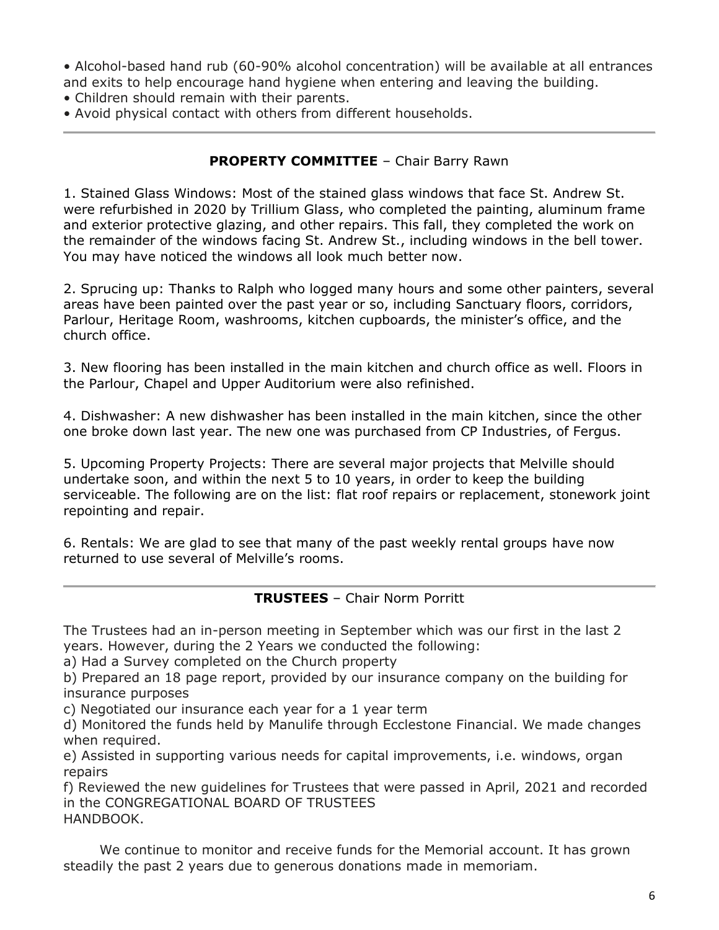• Alcohol-based hand rub (60-90% alcohol concentration) will be available at all entrances and exits to help encourage hand hygiene when entering and leaving the building.

- Children should remain with their parents.
- Avoid physical contact with others from different households.

#### **PROPERTY COMMITTEE** - Chair Barry Rawn

1. Stained Glass Windows: Most of the stained glass windows that face St. Andrew St. were refurbished in 2020 by Trillium Glass, who completed the painting, aluminum frame and exterior protective glazing, and other repairs. This fall, they completed the work on the remainder of the windows facing St. Andrew St., including windows in the bell tower. You may have noticed the windows all look much better now.

2. Sprucing up: Thanks to Ralph who logged many hours and some other painters, several areas have been painted over the past year or so, including Sanctuary floors, corridors, Parlour, Heritage Room, washrooms, kitchen cupboards, the minister's office, and the church office.

3. New flooring has been installed in the main kitchen and church office as well. Floors in the Parlour, Chapel and Upper Auditorium were also refinished.

4. Dishwasher: A new dishwasher has been installed in the main kitchen, since the other one broke down last year. The new one was purchased from CP Industries, of Fergus.

5. Upcoming Property Projects: There are several major projects that Melville should undertake soon, and within the next 5 to 10 years, in order to keep the building serviceable. The following are on the list: flat roof repairs or replacement, stonework joint repointing and repair.

6. Rentals: We are glad to see that many of the past weekly rental groups have now returned to use several of Melville's rooms.

#### **TRUSTEES** – Chair Norm Porritt

The Trustees had an in-person meeting in September which was our first in the last 2 years. However, during the 2 Years we conducted the following:

a) Had a Survey completed on the Church property

b) Prepared an 18 page report, provided by our insurance company on the building for insurance purposes

c) Negotiated our insurance each year for a 1 year term

d) Monitored the funds held by Manulife through Ecclestone Financial. We made changes when required.

e) Assisted in supporting various needs for capital improvements, i.e. windows, organ repairs

f) Reviewed the new guidelines for Trustees that were passed in April, 2021 and recorded in the CONGREGATIONAL BOARD OF TRUSTEES HANDBOOK.

 We continue to monitor and receive funds for the Memorial account. It has grown steadily the past 2 years due to generous donations made in memoriam.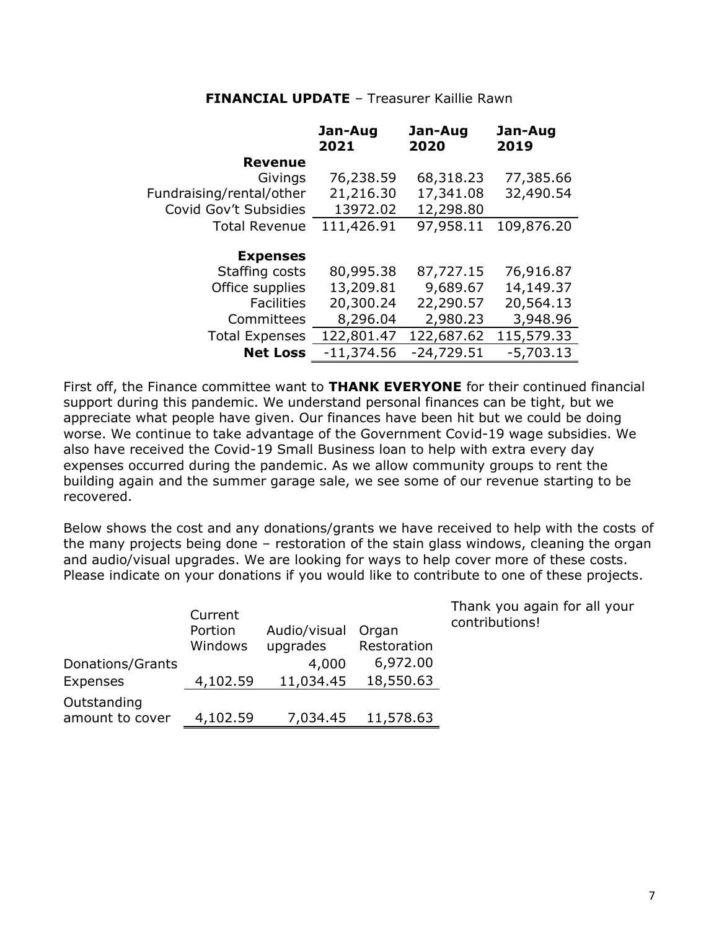#### **FINANCIAL UPDATE** – Treasurer Kaillie Rawn

|                          | Jan-Aug<br>2021 | Jan-Aug<br>2020 | Jan-Aug<br>2019 |
|--------------------------|-----------------|-----------------|-----------------|
| <b>Revenue</b>           |                 |                 |                 |
| Givings                  | 76,238.59       | 68,318.23       | 77,385.66       |
| Fundraising/rental/other | 21,216.30       | 17,341.08       | 32,490.54       |
| Covid Gov't Subsidies    | 13972.02        | 12,298.80       |                 |
| <b>Total Revenue</b>     | 111,426.91      | 97,958.11       | 109,876.20      |
| <b>Expenses</b>          |                 |                 |                 |
| Staffing costs           | 80,995.38       | 87,727.15       | 76,916.87       |
| Office supplies          | 13,209.81       | 9,689.67        | 14,149.37       |
| <b>Facilities</b>        | 20,300.24       | 22,290.57       | 20,564.13       |
| Committees               | 8,296.04        | 2,980.23        | 3,948.96        |
| <b>Total Expenses</b>    | 122,801.47      | 122,687.62      | 115,579.33      |
| <b>Net Loss</b>          | $-11,374.56$    | $-24,729.51$    | $-5,703.13$     |

First off, the Finance committee want to **THANK EVERYONE** for their continued financial support during this pandemic. We understand personal finances can be tight, but we appreciate what people have given. Our finances have been hit but we could be doing worse. We continue to take advantage of the Government Covid-19 wage subsidies. We also have received the Covid-19 Small Business loan to help with extra every day expenses occurred during the pandemic. As we allow community groups to rent the building again and the summer garage sale, we see some of our revenue starting to be recovered.

Below shows the cost and any donations/grants we have received to help with the costs of the many projects being done – restoration of the stain glass windows, cleaning the organ and audio/visual upgrades. We are looking for ways to help cover more of these costs. Please indicate on your donations if you would like to contribute to one of these projects.

|                  | Current  |              |             | Thank you again for all your<br>contributions! |
|------------------|----------|--------------|-------------|------------------------------------------------|
|                  | Portion  | Audio/visual | Organ       |                                                |
|                  | Windows  | upgrades     | Restoration |                                                |
| Donations/Grants |          | 4,000        | 6,972.00    |                                                |
| Expenses         | 4,102.59 | 11,034.45    | 18,550.63   |                                                |
| Outstanding      |          |              |             |                                                |
| amount to cover  | 4,102.59 | 7,034.45     | 11,578.63   |                                                |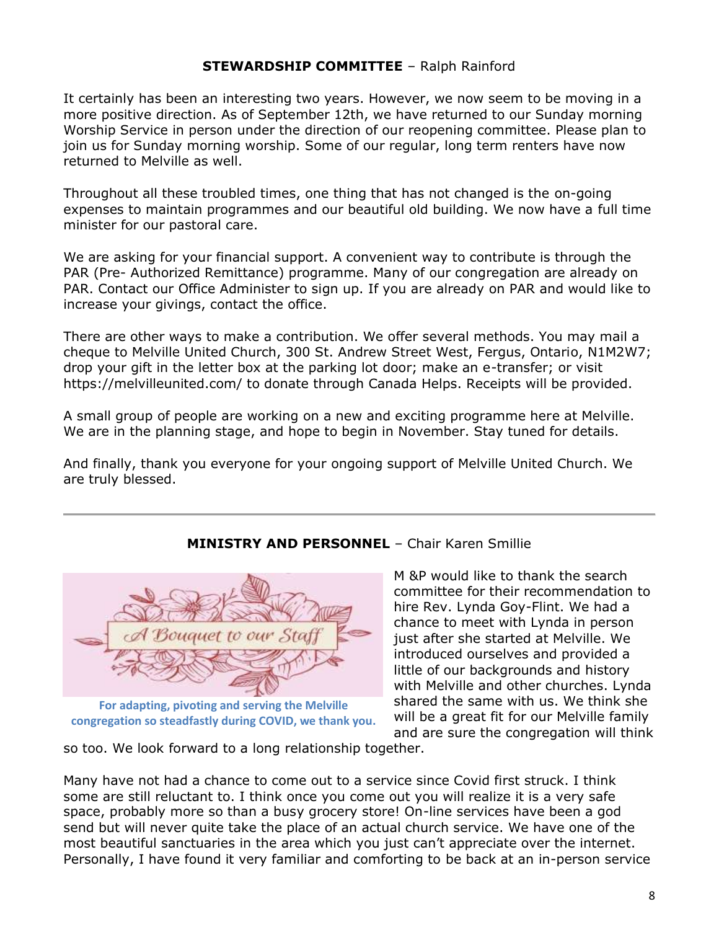#### **STEWARDSHIP COMMITTEE** – Ralph Rainford

It certainly has been an interesting two years. However, we now seem to be moving in a more positive direction. As of September 12th, we have returned to our Sunday morning Worship Service in person under the direction of our reopening committee. Please plan to join us for Sunday morning worship. Some of our regular, long term renters have now returned to Melville as well.

Throughout all these troubled times, one thing that has not changed is the on-going expenses to maintain programmes and our beautiful old building. We now have a full time minister for our pastoral care.

We are asking for your financial support. A convenient way to contribute is through the PAR (Pre- Authorized Remittance) programme. Many of our congregation are already on PAR. Contact our Office Administer to sign up. If you are already on PAR and would like to increase your givings, contact the office.

There are other ways to make a contribution. We offer several methods. You may mail a cheque to Melville United Church, 300 St. Andrew Street West, Fergus, Ontario, N1M2W7; drop your gift in the letter box at the parking lot door; make an e-transfer; or visit https://melvilleunited.com/ to donate through Canada Helps. Receipts will be provided.

A small group of people are working on a new and exciting programme here at Melville. We are in the planning stage, and hope to begin in November. Stay tuned for details.

And finally, thank you everyone for your ongoing support of Melville United Church. We are truly blessed.

# **For adapting, pivoting and serving the Melville**

**congregation so steadfastly during COVID, we thank you.**

#### **MINISTRY AND PERSONNEL** – Chair Karen Smillie

M &P would like to thank the search committee for their recommendation to hire Rev. Lynda Goy-Flint. We had a chance to meet with Lynda in person just after she started at Melville. We introduced ourselves and provided a little of our backgrounds and history with Melville and other churches. Lynda shared the same with us. We think she will be a great fit for our Melville family and are sure the congregation will think

so too. We look forward to a long relationship together.

Many have not had a chance to come out to a service since Covid first struck. I think some are still reluctant to. I think once you come out you will realize it is a very safe space, probably more so than a busy grocery store! On-line services have been a god send but will never quite take the place of an actual church service. We have one of the most beautiful sanctuaries in the area which you just can't appreciate over the internet. Personally, I have found it very familiar and comforting to be back at an in-person service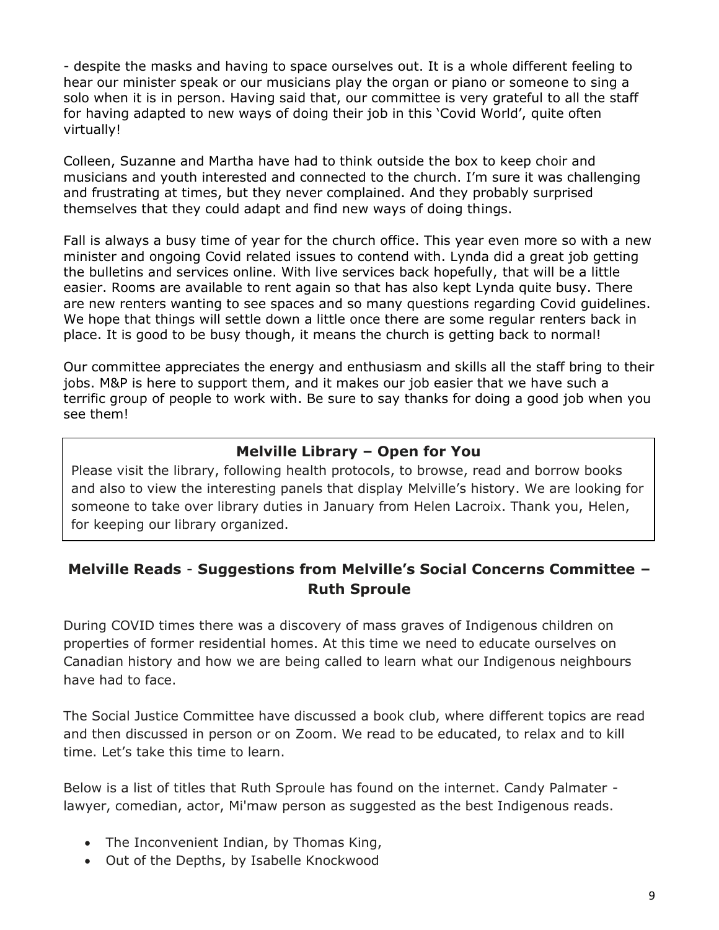- despite the masks and having to space ourselves out. It is a whole different feeling to hear our minister speak or our musicians play the organ or piano or someone to sing a solo when it is in person. Having said that, our committee is very grateful to all the staff for having adapted to new ways of doing their job in this 'Covid World', quite often virtually!

Colleen, Suzanne and Martha have had to think outside the box to keep choir and musicians and youth interested and connected to the church. I'm sure it was challenging and frustrating at times, but they never complained. And they probably surprised themselves that they could adapt and find new ways of doing things.

Fall is always a busy time of year for the church office. This year even more so with a new minister and ongoing Covid related issues to contend with. Lynda did a great job getting the bulletins and services online. With live services back hopefully, that will be a little easier. Rooms are available to rent again so that has also kept Lynda quite busy. There are new renters wanting to see spaces and so many questions regarding Covid guidelines. We hope that things will settle down a little once there are some regular renters back in place. It is good to be busy though, it means the church is getting back to normal!

Our committee appreciates the energy and enthusiasm and skills all the staff bring to their jobs. M&P is here to support them, and it makes our job easier that we have such a terrific group of people to work with. Be sure to say thanks for doing a good job when you see them!

# **Melville Library – Open for You**

Please visit the library, following health protocols, to browse, read and borrow books and also to view the interesting panels that display Melville's history. We are looking for someone to take over library duties in January from Helen Lacroix. Thank you, Helen, for keeping our library organized.

# **Melville Reads** - **Suggestions from Melville's Social Concerns Committee – Ruth Sproule**

During COVID times there was a discovery of mass graves of Indigenous children on properties of former residential homes. At this time we need to educate ourselves on Canadian history and how we are being called to learn what our Indigenous neighbours have had to face.

The Social Justice Committee have discussed a book club, where different topics are read and then discussed in person or on Zoom. We read to be educated, to relax and to kill time. Let's take this time to learn.

Below is a list of titles that Ruth Sproule has found on the internet. Candy Palmater lawyer, comedian, actor, Mi'maw person as suggested as the best Indigenous reads.

- The Inconvenient Indian, by Thomas King,
- Out of the Depths, by Isabelle Knockwood